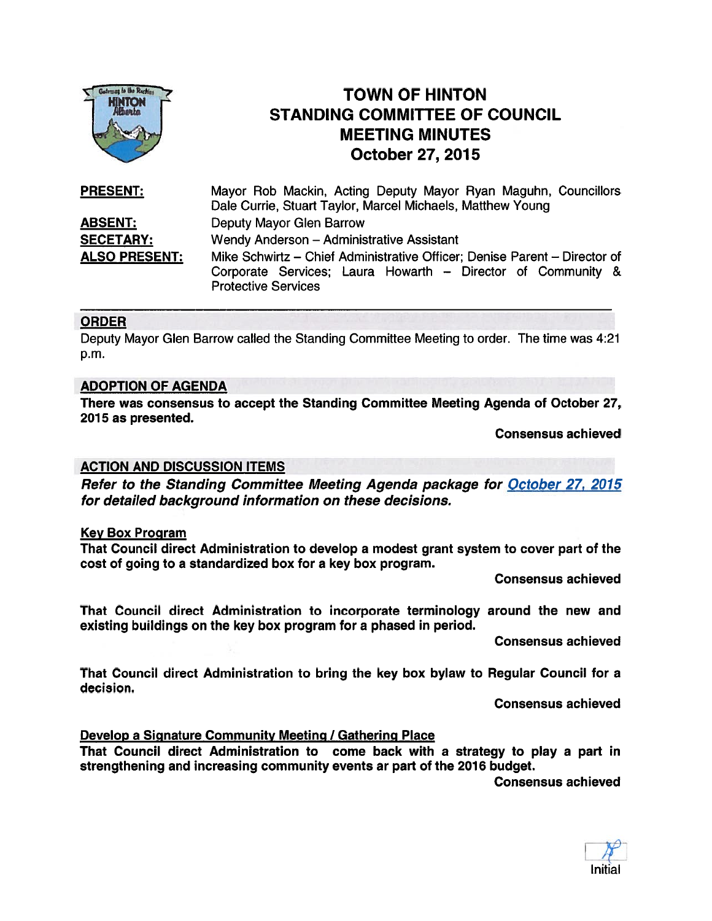

# TOWN OF HINTON STANDING COMMITTEE OF COUNCIL MEETING MINUTES TOWN OF HINTOR MINTOR STANDING COMMITTEE OF

| <b>PRESENT:</b>      | Mayor Rob Mackin, Acting Deputy Mayor Ryan Maguhn, Councillors            |
|----------------------|---------------------------------------------------------------------------|
|                      | Dale Currie, Stuart Taylor, Marcel Michaels, Matthew Young                |
| <b>ABSENT:</b>       | Deputy Mayor Glen Barrow                                                  |
| <b>SECETARY:</b>     | Wendy Anderson - Administrative Assistant                                 |
| <b>ALSO PRESENT:</b> | Mike Schwirtz – Chief Administrative Officer; Denise Parent – Director of |
|                      | Corporate Services; Laura Howarth - Director of Community &               |
|                      | <b>Protective Services</b>                                                |

#### ORDER

Deputy Mayor Glen Barrow called the Standing Committee Meeting to order. The time was 4:21 p.m.

#### ADOPTION OF AGENDA

There was consensus to accep<sup>t</sup> the Standing Committee Meeting Agenda of October 27, 2015 as presented.

Consensus achieved

#### ACTION AND DISCUSSION ITEMS

Refer to the Standing Committee Meeting Agenda package for October 27, 2015 for detailed background information on these decisions.

#### Key Box Program

That Council direct Administration to develop <sup>a</sup> modest gran<sup>t</sup> system to cover par<sup>t</sup> of the cost of going to <sup>a</sup> standardized box for <sup>a</sup> key box program.

Consensus achieved

That Council direct Administration to incorporate terminology around the new and existing buildings on the key box program for <sup>a</sup> phased in period.

Consensus achieved

That Council direct Administration to bring the key box bylaw to Regular Council for <sup>a</sup> decision.

Consensus achieved

#### Develop a Signature Community Meeting / Gathering Place

That Council direct Administration to come back with <sup>a</sup> strategy to play <sup>a</sup> par<sup>t</sup> in strengthening and increasing community events ar par<sup>t</sup> of the 2016 budget.

Consensus achieved